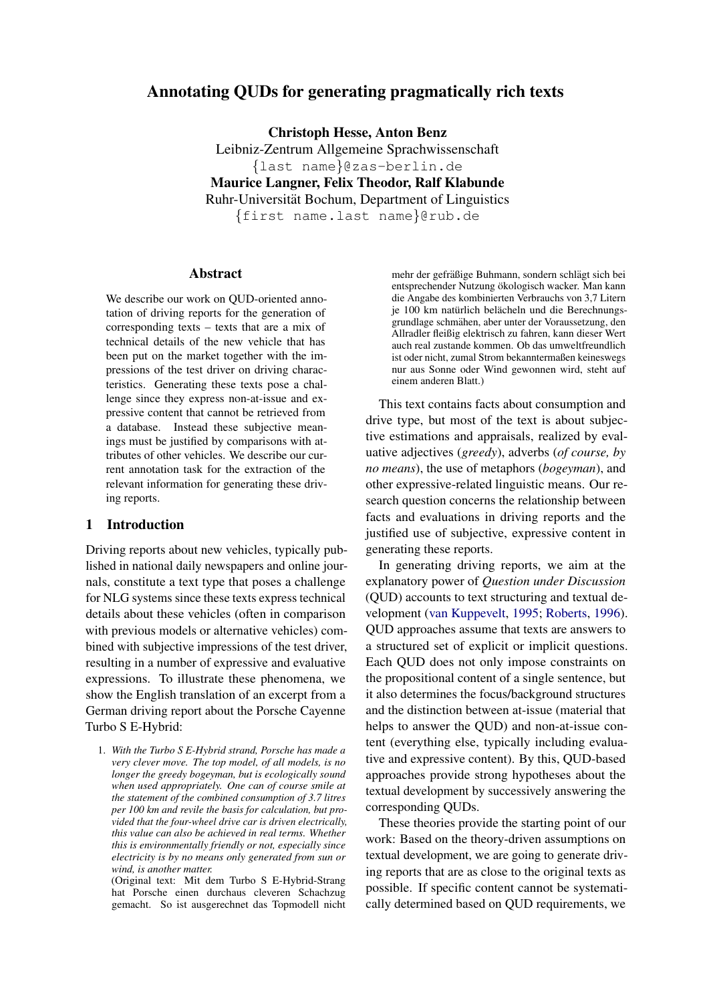# Annotating QUDs for generating pragmatically rich texts

Christoph Hesse, Anton Benz

Leibniz-Zentrum Allgemeine Sprachwissenschaft {last name}@zas-berlin.de Maurice Langner, Felix Theodor, Ralf Klabunde Ruhr-Universitat Bochum, Department of Linguistics ¨ {first name.last name}@rub.de

# Abstract

We describe our work on QUD-oriented annotation of driving reports for the generation of corresponding texts – texts that are a mix of technical details of the new vehicle that has been put on the market together with the impressions of the test driver on driving characteristics. Generating these texts pose a challenge since they express non-at-issue and expressive content that cannot be retrieved from a database. Instead these subjective meanings must be justified by comparisons with attributes of other vehicles. We describe our current annotation task for the extraction of the relevant information for generating these driving reports.

## 1 Introduction

Driving reports about new vehicles, typically published in national daily newspapers and online journals, constitute a text type that poses a challenge for NLG systems since these texts express technical details about these vehicles (often in comparison with previous models or alternative vehicles) combined with subjective impressions of the test driver, resulting in a number of expressive and evaluative expressions. To illustrate these phenomena, we show the English translation of an excerpt from a German driving report about the Porsche Cayenne Turbo S E-Hybrid:

1. *With the Turbo S E-Hybrid strand, Porsche has made a very clever move. The top model, of all models, is no longer the greedy bogeyman, but is ecologically sound when used appropriately. One can of course smile at the statement of the combined consumption of 3.7 litres per 100 km and revile the basis for calculation, but provided that the four-wheel drive car is driven electrically, this value can also be achieved in real terms. Whether this is environmentally friendly or not, especially since electricity is by no means only generated from sun or wind, is another matter.*

(Original text: Mit dem Turbo S E-Hybrid-Strang hat Porsche einen durchaus cleveren Schachzug gemacht. So ist ausgerechnet das Topmodell nicht

mehr der gefräßige Buhmann, sondern schlägt sich bei entsprechender Nutzung ökologisch wacker. Man kann die Angabe des kombinierten Verbrauchs von 3,7 Litern je 100 km natürlich belächeln und die Berechnungsgrundlage schmahen, aber unter der Voraussetzung, den ¨ Allradler fleißig elektrisch zu fahren, kann dieser Wert auch real zustande kommen. Ob das umweltfreundlich ist oder nicht, zumal Strom bekanntermaßen keineswegs nur aus Sonne oder Wind gewonnen wird, steht auf einem anderen Blatt.)

This text contains facts about consumption and drive type, but most of the text is about subjective estimations and appraisals, realized by evaluative adjectives (*greedy*), adverbs (*of course, by no means*), the use of metaphors (*bogeyman*), and other expressive-related linguistic means. Our research question concerns the relationship between facts and evaluations in driving reports and the justified use of subjective, expressive content in generating these reports.

In generating driving reports, we aim at the explanatory power of *Question under Discussion* (QUD) accounts to text structuring and textual development [\(van Kuppevelt,](#page-6-0) [1995;](#page-6-0) [Roberts,](#page-6-1) [1996\)](#page-6-1). QUD approaches assume that texts are answers to a structured set of explicit or implicit questions. Each QUD does not only impose constraints on the propositional content of a single sentence, but it also determines the focus/background structures and the distinction between at-issue (material that helps to answer the QUD) and non-at-issue content (everything else, typically including evaluative and expressive content). By this, QUD-based approaches provide strong hypotheses about the textual development by successively answering the corresponding QUDs.

These theories provide the starting point of our work: Based on the theory-driven assumptions on textual development, we are going to generate driving reports that are as close to the original texts as possible. If specific content cannot be systematically determined based on QUD requirements, we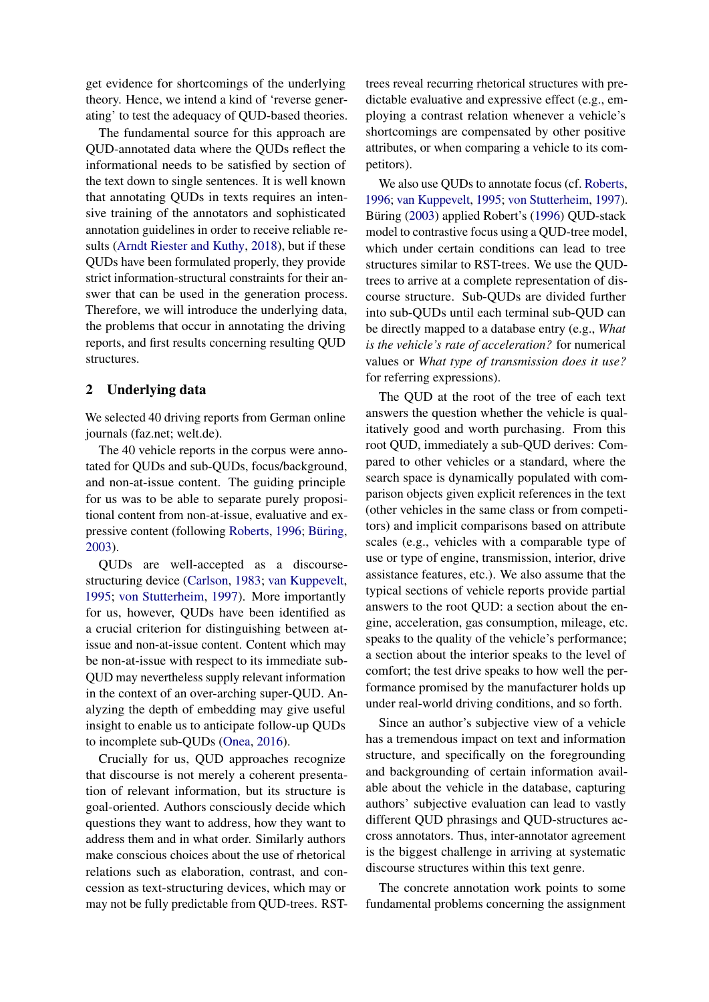get evidence for shortcomings of the underlying theory. Hence, we intend a kind of 'reverse generating' to test the adequacy of QUD-based theories.

The fundamental source for this approach are QUD-annotated data where the QUDs reflect the informational needs to be satisfied by section of the text down to single sentences. It is well known that annotating QUDs in texts requires an intensive training of the annotators and sophisticated annotation guidelines in order to receive reliable results [\(Arndt Riester and Kuthy,](#page-6-2) [2018\)](#page-6-2), but if these QUDs have been formulated properly, they provide strict information-structural constraints for their answer that can be used in the generation process. Therefore, we will introduce the underlying data, the problems that occur in annotating the driving reports, and first results concerning resulting QUD structures.

#### 2 Underlying data

We selected 40 driving reports from German online journals (faz.net; welt.de).

The 40 vehicle reports in the corpus were annotated for QUDs and sub-QUDs, focus/background, and non-at-issue content. The guiding principle for us was to be able to separate purely propositional content from non-at-issue, evaluative and ex-pressive content (following [Roberts,](#page-6-1) [1996;](#page-6-1) Büring, [2003\)](#page-6-3).

QUDs are well-accepted as a discoursestructuring device [\(Carlson,](#page-6-4) [1983;](#page-6-4) [van Kuppevelt,](#page-6-0) [1995;](#page-6-0) [von Stutterheim,](#page-6-5) [1997\)](#page-6-5). More importantly for us, however, QUDs have been identified as a crucial criterion for distinguishing between atissue and non-at-issue content. Content which may be non-at-issue with respect to its immediate sub-QUD may nevertheless supply relevant information in the context of an over-arching super-QUD. Analyzing the depth of embedding may give useful insight to enable us to anticipate follow-up QUDs to incomplete sub-QUDs [\(Onea,](#page-6-6) [2016\)](#page-6-6).

Crucially for us, QUD approaches recognize that discourse is not merely a coherent presentation of relevant information, but its structure is goal-oriented. Authors consciously decide which questions they want to address, how they want to address them and in what order. Similarly authors make conscious choices about the use of rhetorical relations such as elaboration, contrast, and concession as text-structuring devices, which may or may not be fully predictable from QUD-trees. RST- trees reveal recurring rhetorical structures with predictable evaluative and expressive effect (e.g., employing a contrast relation whenever a vehicle's shortcomings are compensated by other positive attributes, or when comparing a vehicle to its competitors).

We also use QUDs to annotate focus (cf. [Roberts,](#page-6-1) [1996;](#page-6-1) [van Kuppevelt,](#page-6-0) [1995;](#page-6-0) [von Stutterheim,](#page-6-5) [1997\)](#page-6-5). Büring ([2003\)](#page-6-3) applied Robert's [\(1996\)](#page-6-1) OUD-stack model to contrastive focus using a QUD-tree model, which under certain conditions can lead to tree structures similar to RST-trees. We use the QUDtrees to arrive at a complete representation of discourse structure. Sub-QUDs are divided further into sub-QUDs until each terminal sub-QUD can be directly mapped to a database entry (e.g., *What is the vehicle's rate of acceleration?* for numerical values or *What type of transmission does it use?* for referring expressions).

The QUD at the root of the tree of each text answers the question whether the vehicle is qualitatively good and worth purchasing. From this root QUD, immediately a sub-QUD derives: Compared to other vehicles or a standard, where the search space is dynamically populated with comparison objects given explicit references in the text (other vehicles in the same class or from competitors) and implicit comparisons based on attribute scales (e.g., vehicles with a comparable type of use or type of engine, transmission, interior, drive assistance features, etc.). We also assume that the typical sections of vehicle reports provide partial answers to the root QUD: a section about the engine, acceleration, gas consumption, mileage, etc. speaks to the quality of the vehicle's performance; a section about the interior speaks to the level of comfort; the test drive speaks to how well the performance promised by the manufacturer holds up under real-world driving conditions, and so forth.

Since an author's subjective view of a vehicle has a tremendous impact on text and information structure, and specifically on the foregrounding and backgrounding of certain information available about the vehicle in the database, capturing authors' subjective evaluation can lead to vastly different QUD phrasings and QUD-structures accross annotators. Thus, inter-annotator agreement is the biggest challenge in arriving at systematic discourse structures within this text genre.

The concrete annotation work points to some fundamental problems concerning the assignment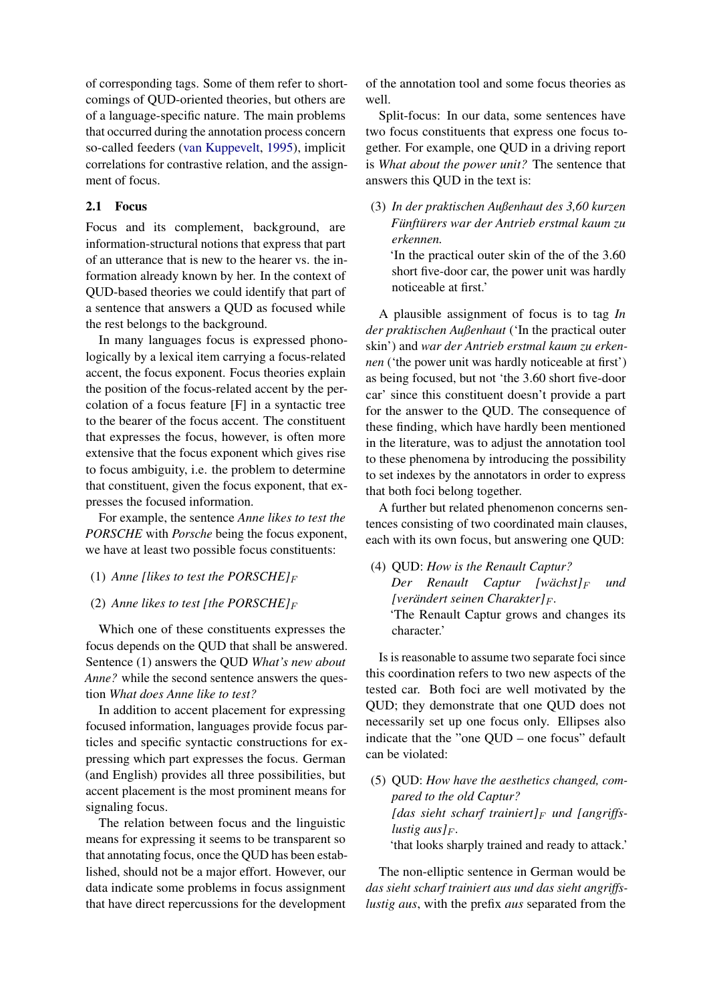of corresponding tags. Some of them refer to shortcomings of QUD-oriented theories, but others are of a language-specific nature. The main problems that occurred during the annotation process concern so-called feeders [\(van Kuppevelt,](#page-6-0) [1995\)](#page-6-0), implicit correlations for contrastive relation, and the assignment of focus.

#### 2.1 Focus

Focus and its complement, background, are information-structural notions that express that part of an utterance that is new to the hearer vs. the information already known by her. In the context of QUD-based theories we could identify that part of a sentence that answers a QUD as focused while the rest belongs to the background.

In many languages focus is expressed phonologically by a lexical item carrying a focus-related accent, the focus exponent. Focus theories explain the position of the focus-related accent by the percolation of a focus feature [F] in a syntactic tree to the bearer of the focus accent. The constituent that expresses the focus, however, is often more extensive that the focus exponent which gives rise to focus ambiguity, i.e. the problem to determine that constituent, given the focus exponent, that expresses the focused information.

For example, the sentence *Anne likes to test the PORSCHE* with *Porsche* being the focus exponent, we have at least two possible focus constituents:

#### (1) *Anne [likes to test the PORSCHE]* $_F$

### (2) Anne likes to test [the PORSCHE] $_F$

Which one of these constituents expresses the focus depends on the QUD that shall be answered. Sentence (1) answers the QUD *What's new about Anne?* while the second sentence answers the question *What does Anne like to test?*

In addition to accent placement for expressing focused information, languages provide focus particles and specific syntactic constructions for expressing which part expresses the focus. German (and English) provides all three possibilities, but accent placement is the most prominent means for signaling focus.

The relation between focus and the linguistic means for expressing it seems to be transparent so that annotating focus, once the QUD has been established, should not be a major effort. However, our data indicate some problems in focus assignment that have direct repercussions for the development

of the annotation tool and some focus theories as well.

Split-focus: In our data, some sentences have two focus constituents that express one focus together. For example, one QUD in a driving report is *What about the power unit?* The sentence that answers this QUD in the text is:

(3) *In der praktischen Außenhaut des 3,60 kurzen Funft ¨ urers war der Antrieb erstmal kaum zu ¨ erkennen.*

'In the practical outer skin of the of the 3.60 short five-door car, the power unit was hardly noticeable at first.'

A plausible assignment of focus is to tag *In der praktischen Außenhaut* ('In the practical outer skin') and *war der Antrieb erstmal kaum zu erkennen* ('the power unit was hardly noticeable at first') as being focused, but not 'the 3.60 short five-door car' since this constituent doesn't provide a part for the answer to the QUD. The consequence of these finding, which have hardly been mentioned in the literature, was to adjust the annotation tool to these phenomena by introducing the possibility to set indexes by the annotators in order to express that both foci belong together.

A further but related phenomenon concerns sentences consisting of two coordinated main clauses, each with its own focus, but answering one QUD:

(4) QUD: *How is the Renault Captur? Der Renault Captur [wächst] F und [verändert seinen Charakter]*  $_F$ *.* 'The Renault Captur grows and changes its character.'

Is is reasonable to assume two separate foci since this coordination refers to two new aspects of the tested car. Both foci are well motivated by the QUD; they demonstrate that one QUD does not necessarily set up one focus only. Ellipses also indicate that the "one QUD – one focus" default can be violated:

(5) QUD: *How have the aesthetics changed, compared to the old Captur?* [das sieht scharf trainiert] $_F$  *und* [angriffs*lustig aus* $F$ *<sub>F</sub>.* 'that looks sharply trained and ready to attack.'

The non-elliptic sentence in German would be *das sieht scharf trainiert aus und das sieht angriffslustig aus*, with the prefix *aus* separated from the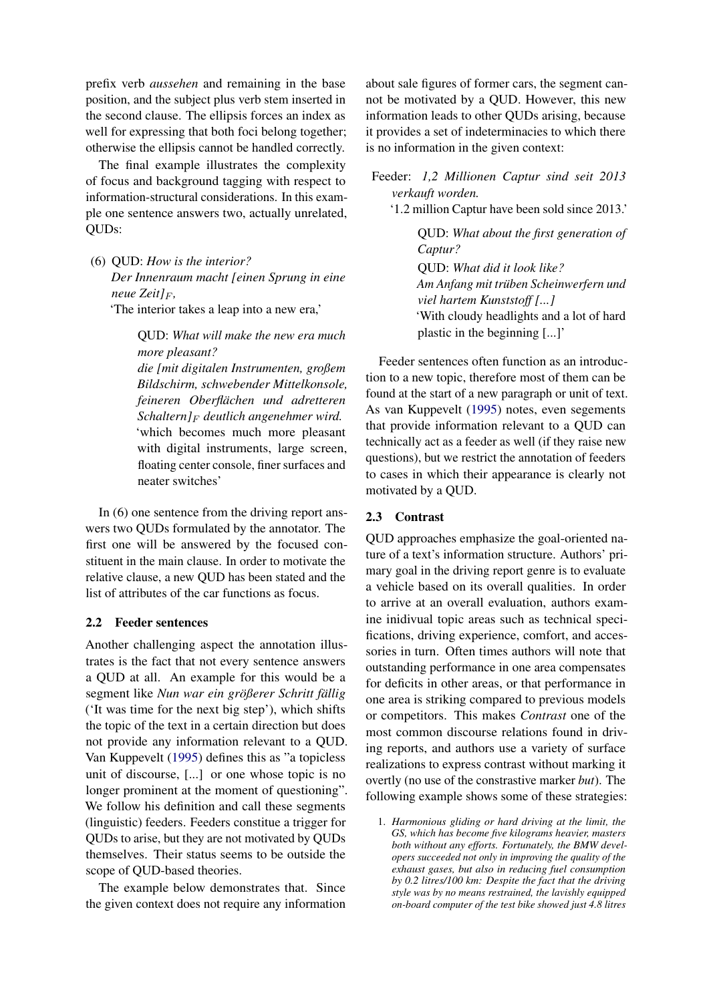prefix verb *aussehen* and remaining in the base position, and the subject plus verb stem inserted in the second clause. The ellipsis forces an index as well for expressing that both foci belong together; otherwise the ellipsis cannot be handled correctly.

The final example illustrates the complexity of focus and background tagging with respect to information-structural considerations. In this example one sentence answers two, actually unrelated, QUDs:

(6) QUD: *How is the interior?*

*Der Innenraum macht [einen Sprung in eine neue* Zeit $]_F$ ,

'The interior takes a leap into a new era,'

QUD: *What will make the new era much more pleasant?*

*die [mit digitalen Instrumenten, großem Bildschirm, schwebender Mittelkonsole, feineren Oberflachen und adretteren ¨ Schaltern]*<sup>F</sup> *deutlich angenehmer wird.* 'which becomes much more pleasant with digital instruments, large screen, floating center console, finer surfaces and neater switches'

In (6) one sentence from the driving report answers two QUDs formulated by the annotator. The first one will be answered by the focused constituent in the main clause. In order to motivate the relative clause, a new QUD has been stated and the list of attributes of the car functions as focus.

### 2.2 Feeder sentences

Another challenging aspect the annotation illustrates is the fact that not every sentence answers a QUD at all. An example for this would be a segment like *Nun war ein größerer Schritt fällig* ('It was time for the next big step'), which shifts the topic of the text in a certain direction but does not provide any information relevant to a QUD. Van Kuppevelt [\(1995\)](#page-6-0) defines this as "a topicless unit of discourse, [...] or one whose topic is no longer prominent at the moment of questioning". We follow his definition and call these segments (linguistic) feeders. Feeders constitue a trigger for QUDs to arise, but they are not motivated by QUDs themselves. Their status seems to be outside the scope of QUD-based theories.

The example below demonstrates that. Since the given context does not require any information about sale figures of former cars, the segment cannot be motivated by a QUD. However, this new information leads to other QUDs arising, because it provides a set of indeterminacies to which there is no information in the given context:

Feeder: *1,2 Millionen Captur sind seit 2013 verkauft worden.*

'1.2 million Captur have been sold since 2013.'

QUD: *What about the first generation of Captur?* QUD: *What did it look like? Am Anfang mit truben Scheinwerfern und ¨ viel hartem Kunststoff [...]* 'With cloudy headlights and a lot of hard plastic in the beginning [...]'

Feeder sentences often function as an introduction to a new topic, therefore most of them can be found at the start of a new paragraph or unit of text. As van Kuppevelt [\(1995\)](#page-6-0) notes, even segements that provide information relevant to a QUD can technically act as a feeder as well (if they raise new questions), but we restrict the annotation of feeders to cases in which their appearance is clearly not motivated by a QUD.

# 2.3 Contrast

QUD approaches emphasize the goal-oriented nature of a text's information structure. Authors' primary goal in the driving report genre is to evaluate a vehicle based on its overall qualities. In order to arrive at an overall evaluation, authors examine inidivual topic areas such as technical specifications, driving experience, comfort, and accessories in turn. Often times authors will note that outstanding performance in one area compensates for deficits in other areas, or that performance in one area is striking compared to previous models or competitors. This makes *Contrast* one of the most common discourse relations found in driving reports, and authors use a variety of surface realizations to express contrast without marking it overtly (no use of the constrastive marker *but*). The following example shows some of these strategies:

<sup>1.</sup> *Harmonious gliding or hard driving at the limit, the GS, which has become five kilograms heavier, masters both without any efforts. Fortunately, the BMW developers succeeded not only in improving the quality of the exhaust gases, but also in reducing fuel consumption by 0.2 litres/100 km: Despite the fact that the driving style was by no means restrained, the lavishly equipped on-board computer of the test bike showed just 4.8 litres*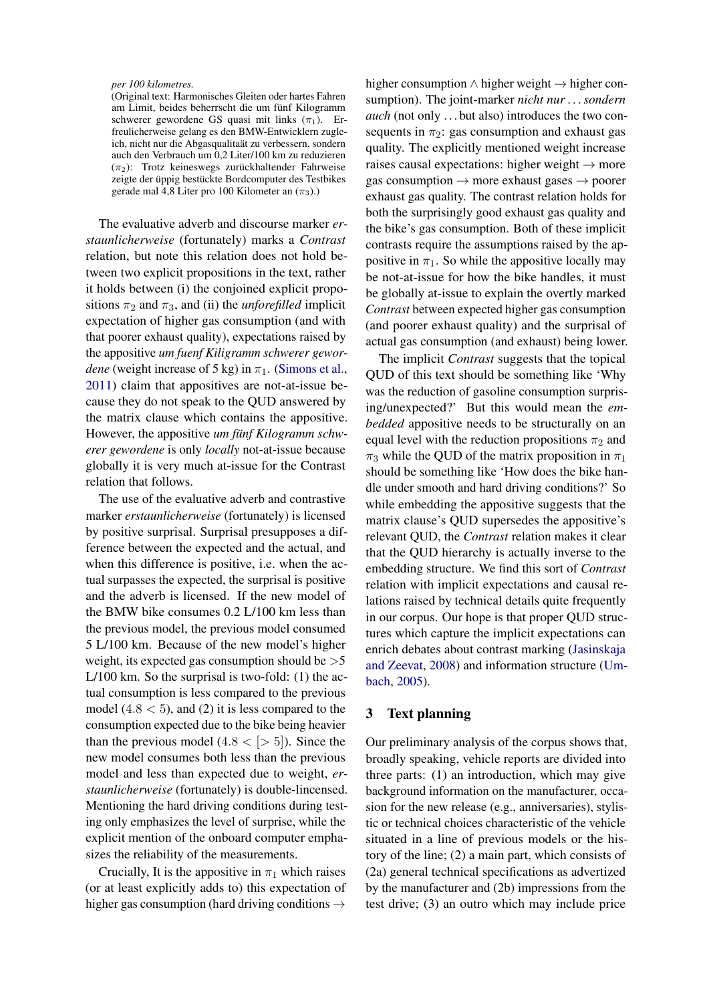#### *per 100 kilometres.*

(Original text: Harmonisches Gleiten oder hartes Fahren am Limit, beides beherrscht die um fünf Kilogramm schwerer gewordene GS quasi mit links  $(\pi_1)$ . Erfreulicherweise gelang es den BMW-Entwicklern zugleich, nicht nur die Abgasqualitaät zu verbessern, sondern auch den Verbrauch um 0,2 Liter/100 km zu reduzieren  $(\pi_2)$ : Trotz keineswegs zurückhaltender Fahrweise zeigte der üppig bestückte Bordcomputer des Testbikes gerade mal 4,8 Liter pro 100 Kilometer an  $(\pi_3)$ .)

The evaluative adverb and discourse marker *erstaunlicherweise* (fortunately) marks a *Contrast* relation, but note this relation does not hold between two explicit propositions in the text, rather it holds between (i) the conjoined explicit propositions  $\pi_2$  and  $\pi_3$ , and (ii) the *unforefilled* implicit expectation of higher gas consumption (and with that poorer exhaust quality), expectations raised by the appositive *um fuenf Kiligramm schwerer gewordene* (weight increase of 5 kg) in  $\pi_1$ . [\(Simons et al.,](#page-6-7) [2011\)](#page-6-7) claim that appositives are not-at-issue because they do not speak to the QUD answered by the matrix clause which contains the appositive. However, the appositive *um funf Kilogramm schwerer gewordene* is only *locally* not-at-issue because globally it is very much at-issue for the Contrast relation that follows.

The use of the evaluative adverb and contrastive marker *erstaunlicherweise* (fortunately) is licensed by positive surprisal. Surprisal presupposes a difference between the expected and the actual, and when this difference is positive, i.e. when the actual surpasses the expected, the surprisal is positive and the adverb is licensed. If the new model of the BMW bike consumes 0.2 L/100 km less than the previous model, the previous model consumed 5 L/100 km. Because of the new model's higher weight, its expected gas consumption should be  $>5$ L/100 km. So the surprisal is two-fold: (1) the actual consumption is less compared to the previous model  $(4.8 < 5)$ , and  $(2)$  it is less compared to the consumption expected due to the bike being heavier than the previous model  $(4.8 < | > 5|)$ . Since the new model consumes both less than the previous model and less than expected due to weight, *erstaunlicherweise* (fortunately) is double-lincensed. Mentioning the hard driving conditions during testing only emphasizes the level of surprise, while the explicit mention of the onboard computer emphasizes the reliability of the measurements.

Crucially, It is the appositive in  $\pi_1$  which raises (or at least explicitly adds to) this expectation of higher gas consumption (hard driving conditions  $\rightarrow$ 

higher consumption ∧ higher weight → higher consumption). The joint-marker *nicht nur . . . sondern auch* (not only ...but also) introduces the two consequents in  $\pi_2$ : gas consumption and exhaust gas quality. The explicitly mentioned weight increase raises causal expectations: higher weight  $\rightarrow$  more gas consumption  $\rightarrow$  more exhaust gases  $\rightarrow$  poorer exhaust gas quality. The contrast relation holds for both the surprisingly good exhaust gas quality and the bike's gas consumption. Both of these implicit contrasts require the assumptions raised by the appositive in  $\pi_1$ . So while the appositive locally may be not-at-issue for how the bike handles, it must be globally at-issue to explain the overtly marked *Contrast* between expected higher gas consumption (and poorer exhaust quality) and the surprisal of actual gas consumption (and exhaust) being lower.

The implicit *Contrast* suggests that the topical QUD of this text should be something like 'Why was the reduction of gasoline consumption surprising/unexpected?' But this would mean the *embedded* appositive needs to be structurally on an equal level with the reduction propositions  $\pi_2$  and  $\pi_3$  while the QUD of the matrix proposition in  $\pi_1$ should be something like 'How does the bike handle under smooth and hard driving conditions?' So while embedding the appositive suggests that the matrix clause's QUD supersedes the appositive's relevant QUD, the *Contrast* relation makes it clear that the QUD hierarchy is actually inverse to the embedding structure. We find this sort of *Contrast* relation with implicit expectations and causal relations raised by technical details quite frequently in our corpus. Our hope is that proper QUD structures which capture the implicit expectations can enrich debates about contrast marking [\(Jasinskaja](#page-6-8) [and Zeevat,](#page-6-8) [2008\)](#page-6-8) and information structure [\(Um](#page-6-9)[bach,](#page-6-9) [2005\)](#page-6-9).

## 3 Text planning

Our preliminary analysis of the corpus shows that, broadly speaking, vehicle reports are divided into three parts: (1) an introduction, which may give background information on the manufacturer, occasion for the new release (e.g., anniversaries), stylistic or technical choices characteristic of the vehicle situated in a line of previous models or the history of the line; (2) a main part, which consists of (2a) general technical specifications as advertized by the manufacturer and (2b) impressions from the test drive; (3) an outro which may include price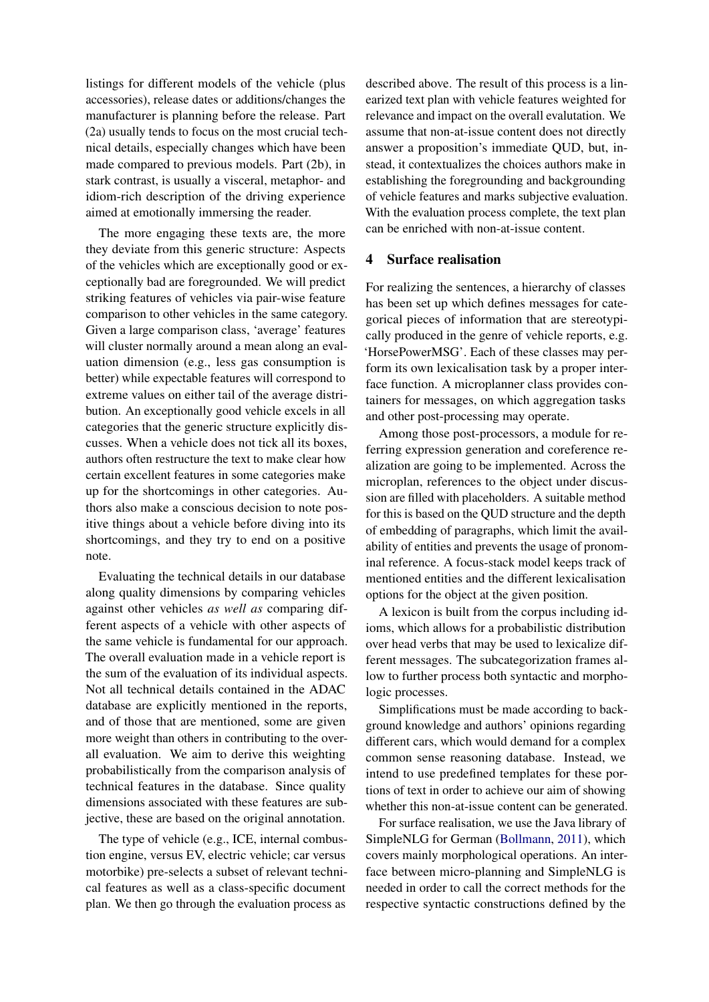listings for different models of the vehicle (plus accessories), release dates or additions/changes the manufacturer is planning before the release. Part (2a) usually tends to focus on the most crucial technical details, especially changes which have been made compared to previous models. Part (2b), in stark contrast, is usually a visceral, metaphor- and idiom-rich description of the driving experience aimed at emotionally immersing the reader.

The more engaging these texts are, the more they deviate from this generic structure: Aspects of the vehicles which are exceptionally good or exceptionally bad are foregrounded. We will predict striking features of vehicles via pair-wise feature comparison to other vehicles in the same category. Given a large comparison class, 'average' features will cluster normally around a mean along an evaluation dimension (e.g., less gas consumption is better) while expectable features will correspond to extreme values on either tail of the average distribution. An exceptionally good vehicle excels in all categories that the generic structure explicitly discusses. When a vehicle does not tick all its boxes, authors often restructure the text to make clear how certain excellent features in some categories make up for the shortcomings in other categories. Authors also make a conscious decision to note positive things about a vehicle before diving into its shortcomings, and they try to end on a positive note.

Evaluating the technical details in our database along quality dimensions by comparing vehicles against other vehicles *as well as* comparing different aspects of a vehicle with other aspects of the same vehicle is fundamental for our approach. The overall evaluation made in a vehicle report is the sum of the evaluation of its individual aspects. Not all technical details contained in the ADAC database are explicitly mentioned in the reports, and of those that are mentioned, some are given more weight than others in contributing to the overall evaluation. We aim to derive this weighting probabilistically from the comparison analysis of technical features in the database. Since quality dimensions associated with these features are subjective, these are based on the original annotation.

The type of vehicle (e.g., ICE, internal combustion engine, versus EV, electric vehicle; car versus motorbike) pre-selects a subset of relevant technical features as well as a class-specific document plan. We then go through the evaluation process as

described above. The result of this process is a linearized text plan with vehicle features weighted for relevance and impact on the overall evalutation. We assume that non-at-issue content does not directly answer a proposition's immediate QUD, but, instead, it contextualizes the choices authors make in establishing the foregrounding and backgrounding of vehicle features and marks subjective evaluation. With the evaluation process complete, the text plan can be enriched with non-at-issue content.

# 4 Surface realisation

For realizing the sentences, a hierarchy of classes has been set up which defines messages for categorical pieces of information that are stereotypically produced in the genre of vehicle reports, e.g. 'HorsePowerMSG'. Each of these classes may perform its own lexicalisation task by a proper interface function. A microplanner class provides containers for messages, on which aggregation tasks and other post-processing may operate.

Among those post-processors, a module for referring expression generation and coreference realization are going to be implemented. Across the microplan, references to the object under discussion are filled with placeholders. A suitable method for this is based on the QUD structure and the depth of embedding of paragraphs, which limit the availability of entities and prevents the usage of pronominal reference. A focus-stack model keeps track of mentioned entities and the different lexicalisation options for the object at the given position.

A lexicon is built from the corpus including idioms, which allows for a probabilistic distribution over head verbs that may be used to lexicalize different messages. The subcategorization frames allow to further process both syntactic and morphologic processes.

Simplifications must be made according to background knowledge and authors' opinions regarding different cars, which would demand for a complex common sense reasoning database. Instead, we intend to use predefined templates for these portions of text in order to achieve our aim of showing whether this non-at-issue content can be generated.

For surface realisation, we use the Java library of SimpleNLG for German [\(Bollmann,](#page-6-10) [2011\)](#page-6-10), which covers mainly morphological operations. An interface between micro-planning and SimpleNLG is needed in order to call the correct methods for the respective syntactic constructions defined by the